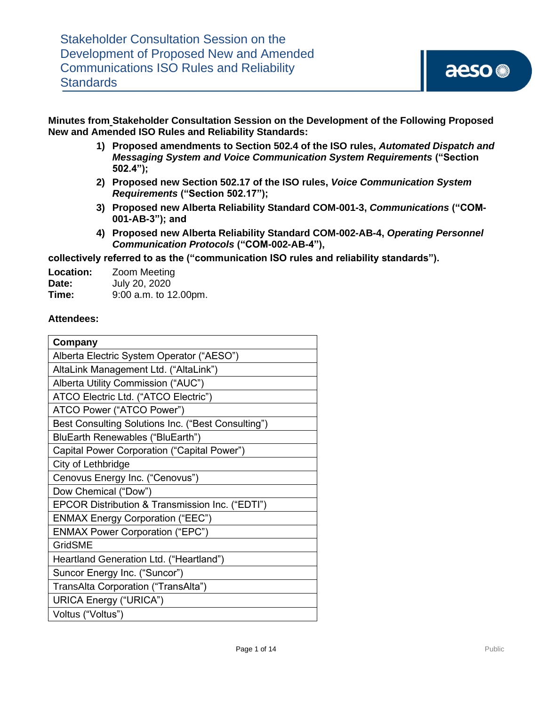**Minutes from Stakeholder Consultation Session on the Development of the Following Proposed New and Amended ISO Rules and Reliability Standards:**

- **1) Proposed amendments to Section 502.4 of the ISO rules,** *Automated Dispatch and Messaging System and Voice Communication System Requirements* **("Section 502.4");**
- **2) Proposed new Section 502.17 of the ISO rules,** *Voice Communication System Requirements* **("Section 502.17");**
- **3) Proposed new Alberta Reliability Standard COM-001-3,** *Communications* **("COM-001-AB-3"); and**
- **4) Proposed new Alberta Reliability Standard COM-002-AB-4,** *Operating Personnel Communication Protocols* **("COM-002-AB-4"),**

**collectively referred to as the ("communication ISO rules and reliability standards").**

| Location: | <b>Zoom Meeting</b>     |
|-----------|-------------------------|
| Date:     | July 20, 2020           |
| Time:     | $9:00$ a.m. to 12.00pm. |

#### **Attendees:**

| Company                                            |  |
|----------------------------------------------------|--|
| Alberta Electric System Operator ("AESO")          |  |
| AltaLink Management Ltd. ("AltaLink")              |  |
| Alberta Utility Commission ("AUC")                 |  |
| ATCO Electric Ltd. ("ATCO Electric")               |  |
| ATCO Power ("ATCO Power")                          |  |
| Best Consulting Solutions Inc. ("Best Consulting") |  |
| BluEarth Renewables ("BluEarth")                   |  |
| Capital Power Corporation ("Capital Power")        |  |
| City of Lethbridge                                 |  |
| Cenovus Energy Inc. ("Cenovus")                    |  |
| Dow Chemical ("Dow")                               |  |
| EPCOR Distribution & Transmission Inc. ("EDTI")    |  |
| <b>ENMAX Energy Corporation ("EEC")</b>            |  |
| <b>ENMAX Power Corporation ("EPC")</b>             |  |
| GridSME                                            |  |
| Heartland Generation Ltd. ("Heartland")            |  |
| Suncor Energy Inc. ("Suncor")                      |  |
| TransAlta Corporation ("TransAlta")                |  |
| <b>URICA Energy ("URICA")</b>                      |  |
| Voltus ("Voltus")                                  |  |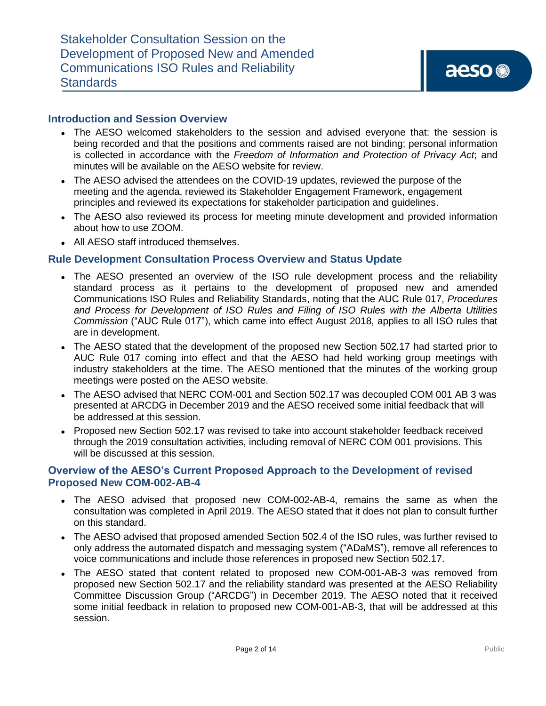#### **Introduction and Session Overview**

- ⚫ The AESO welcomed stakeholders to the session and advised everyone that: the session is being recorded and that the positions and comments raised are not binding; personal information is collected in accordance with the *Freedom of Information and Protection of Privacy Act*; and minutes will be available on the AESO website for review.
- ⚫ The AESO advised the attendees on the COVID-19 updates, reviewed the purpose of the meeting and the agenda, reviewed its Stakeholder Engagement Framework, engagement principles and reviewed its expectations for stakeholder participation and guidelines.
- The AESO also reviewed its process for meeting minute development and provided information about how to use ZOOM.
- ⚫ All AESO staff introduced themselves.

#### **Rule Development Consultation Process Overview and Status Update**

- The AESO presented an overview of the ISO rule development process and the reliability standard process as it pertains to the development of proposed new and amended Communications ISO Rules and Reliability Standards, noting that the AUC Rule 017, *Procedures and Process for Development of ISO Rules and Filing of ISO Rules with the Alberta Utilities Commission* ("AUC Rule 017"), which came into effect August 2018, applies to all ISO rules that are in development.
- The AESO stated that the development of the proposed new Section 502.17 had started prior to AUC Rule 017 coming into effect and that the AESO had held working group meetings with industry stakeholders at the time. The AESO mentioned that the minutes of the working group meetings were posted on the AESO website.
- The AESO advised that NERC COM-001 and Section 502.17 was decoupled COM 001 AB 3 was presented at ARCDG in December 2019 and the AESO received some initial feedback that will be addressed at this session.
- Proposed new Section 502.17 was revised to take into account stakeholder feedback received through the 2019 consultation activities, including removal of NERC COM 001 provisions. This will be discussed at this session.

### **Overview of the AESO's Current Proposed Approach to the Development of revised Proposed New COM-002-AB-4**

- ⚫ The AESO advised that proposed new COM-002-AB-4, remains the same as when the consultation was completed in April 2019. The AESO stated that it does not plan to consult further on this standard.
- The AESO advised that proposed amended Section 502.4 of the ISO rules, was further revised to only address the automated dispatch and messaging system ("ADaMS"), remove all references to voice communications and include those references in proposed new Section 502.17.
- ⚫ The AESO stated that content related to proposed new COM-001-AB-3 was removed from proposed new Section 502.17 and the reliability standard was presented at the AESO Reliability Committee Discussion Group ("ARCDG") in December 2019. The AESO noted that it received some initial feedback in relation to proposed new COM-001-AB-3, that will be addressed at this session.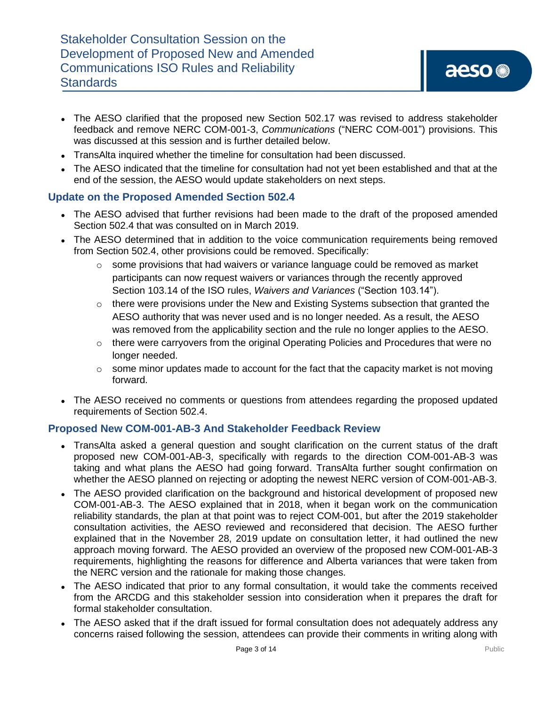- The AESO clarified that the proposed new Section 502.17 was revised to address stakeholder feedback and remove NERC COM-001-3, *Communications* ("NERC COM-001") provisions. This was discussed at this session and is further detailed below.
- ⚫ TransAlta inquired whether the timeline for consultation had been discussed.
- The AESO indicated that the timeline for consultation had not yet been established and that at the end of the session, the AESO would update stakeholders on next steps.

# **Update on the Proposed Amended Section 502.4**

- The AESO advised that further revisions had been made to the draft of the proposed amended Section 502.4 that was consulted on in March 2019.
- The AESO determined that in addition to the voice communication requirements being removed from Section 502.4, other provisions could be removed. Specifically:
	- o some provisions that had waivers or variance language could be removed as market participants can now request waivers or variances through the recently approved Section 103.14 of the ISO rules, *Waivers and Variances* ("Section 103.14").
	- o there were provisions under the New and Existing Systems subsection that granted the AESO authority that was never used and is no longer needed. As a result, the AESO was removed from the applicability section and the rule no longer applies to the AESO.
	- $\circ$  there were carryovers from the original Operating Policies and Procedures that were no longer needed.
	- $\circ$  some minor updates made to account for the fact that the capacity market is not moving forward.
- The AESO received no comments or questions from attendees regarding the proposed updated requirements of Section 502.4.

# **Proposed New COM-001-AB-3 And Stakeholder Feedback Review**

- ⚫ TransAlta asked a general question and sought clarification on the current status of the draft proposed new COM-001-AB-3, specifically with regards to the direction COM-001-AB-3 was taking and what plans the AESO had going forward. TransAlta further sought confirmation on whether the AESO planned on rejecting or adopting the newest NERC version of COM-001-AB-3.
- The AESO provided clarification on the background and historical development of proposed new COM-001-AB-3. The AESO explained that in 2018, when it began work on the communication reliability standards, the plan at that point was to reject COM-001, but after the 2019 stakeholder consultation activities, the AESO reviewed and reconsidered that decision. The AESO further explained that in the November 28, 2019 update on consultation letter, it had outlined the new approach moving forward. The AESO provided an overview of the proposed new COM-001-AB-3 requirements, highlighting the reasons for difference and Alberta variances that were taken from the NERC version and the rationale for making those changes.
- The AESO indicated that prior to any formal consultation, it would take the comments received from the ARCDG and this stakeholder session into consideration when it prepares the draft for formal stakeholder consultation.
- The AESO asked that if the draft issued for formal consultation does not adequately address any concerns raised following the session, attendees can provide their comments in writing along with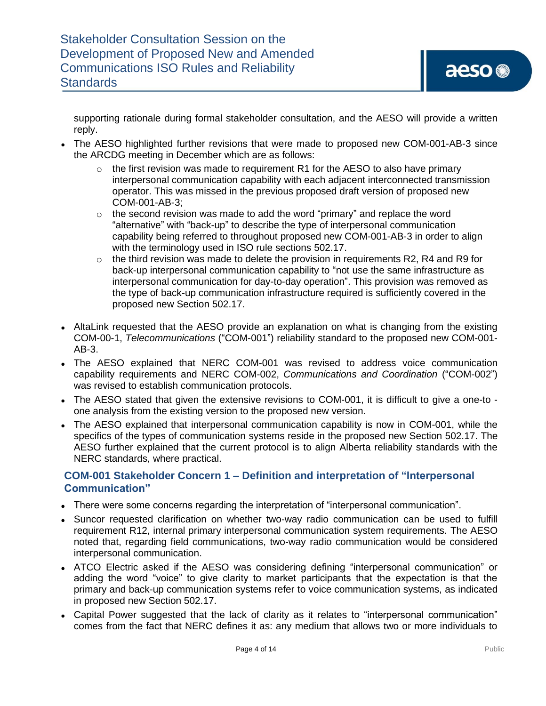supporting rationale during formal stakeholder consultation, and the AESO will provide a written reply.

- The AESO highlighted further revisions that were made to proposed new COM-001-AB-3 since the ARCDG meeting in December which are as follows:
	- $\circ$  the first revision was made to requirement R1 for the AESO to also have primary interpersonal communication capability with each adjacent interconnected transmission operator. This was missed in the previous proposed draft version of proposed new COM-001-AB-3;
	- $\circ$  the second revision was made to add the word "primary" and replace the word "alternative" with "back-up" to describe the type of interpersonal communication capability being referred to throughout proposed new COM-001-AB-3 in order to align with the terminology used in ISO rule sections 502.17.
	- o the third revision was made to delete the provision in requirements R2, R4 and R9 for back-up interpersonal communication capability to "not use the same infrastructure as interpersonal communication for day-to-day operation". This provision was removed as the type of back-up communication infrastructure required is sufficiently covered in the proposed new Section 502.17.
- AltaLink requested that the AESO provide an explanation on what is changing from the existing COM-00-1, *Telecommunications* ("COM-001") reliability standard to the proposed new COM-001- AB-3.
- ⚫ The AESO explained that NERC COM-001 was revised to address voice communication capability requirements and NERC COM-002, *Communications and Coordination* ("COM-002") was revised to establish communication protocols.
- ⚫ The AESO stated that given the extensive revisions to COM-001, it is difficult to give a one-to one analysis from the existing version to the proposed new version.
- The AESO explained that interpersonal communication capability is now in COM-001, while the specifics of the types of communication systems reside in the proposed new Section 502.17. The AESO further explained that the current protocol is to align Alberta reliability standards with the NERC standards, where practical.

# **COM-001 Stakeholder Concern 1 – Definition and interpretation of "Interpersonal Communication"**

- ⚫ There were some concerns regarding the interpretation of "interpersonal communication".
- ⚫ Suncor requested clarification on whether two-way radio communication can be used to fulfill requirement R12, internal primary interpersonal communication system requirements. The AESO noted that, regarding field communications, two-way radio communication would be considered interpersonal communication.
- ⚫ ATCO Electric asked if the AESO was considering defining "interpersonal communication" or adding the word "voice" to give clarity to market participants that the expectation is that the primary and back-up communication systems refer to voice communication systems, as indicated in proposed new Section 502.17.
- Capital Power suggested that the lack of clarity as it relates to "interpersonal communication" comes from the fact that NERC defines it as: any medium that allows two or more individuals to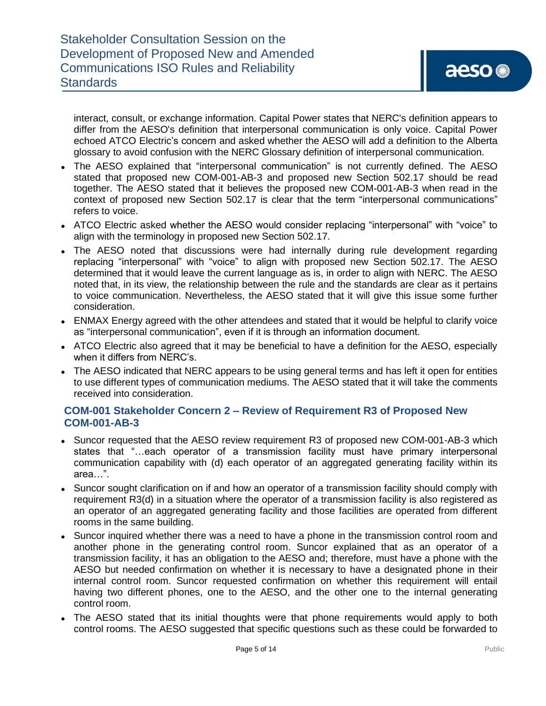interact, consult, or exchange information. Capital Power states that NERC's definition appears to differ from the AESO's definition that interpersonal communication is only voice. Capital Power echoed ATCO Electric's concern and asked whether the AESO will add a definition to the Alberta glossary to avoid confusion with the NERC Glossary definition of interpersonal communication.

- ⚫ The AESO explained that "interpersonal communication" is not currently defined. The AESO stated that proposed new COM-001-AB-3 and proposed new Section 502.17 should be read together. The AESO stated that it believes the proposed new COM-001-AB-3 when read in the context of proposed new Section 502.17 is clear that the term "interpersonal communications" refers to voice.
- ⚫ ATCO Electric asked whether the AESO would consider replacing "interpersonal" with "voice" to align with the terminology in proposed new Section 502.17.
- The AESO noted that discussions were had internally during rule development regarding replacing "interpersonal" with "voice" to align with proposed new Section 502.17. The AESO determined that it would leave the current language as is, in order to align with NERC. The AESO noted that, in its view, the relationship between the rule and the standards are clear as it pertains to voice communication. Nevertheless, the AESO stated that it will give this issue some further consideration.
- ENMAX Energy agreed with the other attendees and stated that it would be helpful to clarify voice as "interpersonal communication", even if it is through an information document.
- ATCO Electric also agreed that it may be beneficial to have a definition for the AESO, especially when it differs from NERC's.
- The AESO indicated that NERC appears to be using general terms and has left it open for entities to use different types of communication mediums. The AESO stated that it will take the comments received into consideration.

# **COM-001 Stakeholder Concern 2 – Review of Requirement R3 of Proposed New COM-001-AB-3**

- Suncor requested that the AESO review requirement R3 of proposed new COM-001-AB-3 which states that "…each operator of a transmission facility must have primary interpersonal communication capability with (d) each operator of an aggregated generating facility within its area…".
- Suncor sought clarification on if and how an operator of a transmission facility should comply with requirement R3(d) in a situation where the operator of a transmission facility is also registered as an operator of an aggregated generating facility and those facilities are operated from different rooms in the same building.
- Suncor inquired whether there was a need to have a phone in the transmission control room and another phone in the generating control room. Suncor explained that as an operator of a transmission facility, it has an obligation to the AESO and; therefore, must have a phone with the AESO but needed confirmation on whether it is necessary to have a designated phone in their internal control room. Suncor requested confirmation on whether this requirement will entail having two different phones, one to the AESO, and the other one to the internal generating control room.
- The AESO stated that its initial thoughts were that phone requirements would apply to both control rooms. The AESO suggested that specific questions such as these could be forwarded to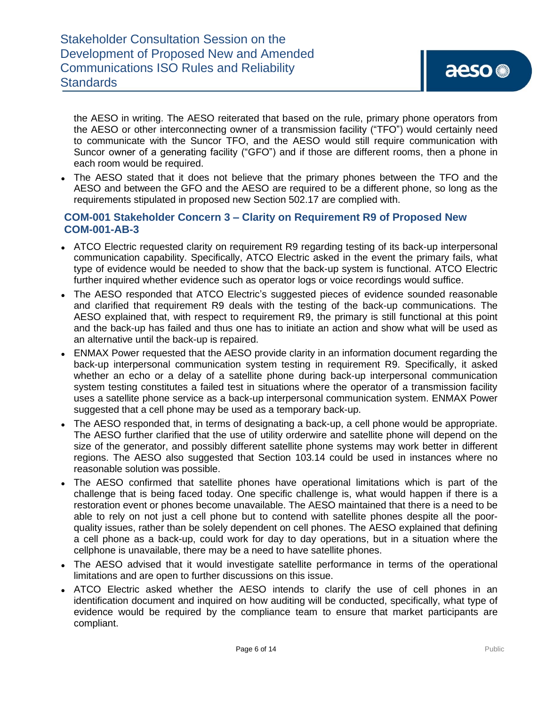the AESO in writing. The AESO reiterated that based on the rule, primary phone operators from the AESO or other interconnecting owner of a transmission facility ("TFO") would certainly need to communicate with the Suncor TFO, and the AESO would still require communication with Suncor owner of a generating facility ("GFO") and if those are different rooms, then a phone in each room would be required.

• The AESO stated that it does not believe that the primary phones between the TFO and the AESO and between the GFO and the AESO are required to be a different phone, so long as the requirements stipulated in proposed new Section 502.17 are complied with.

# **COM-001 Stakeholder Concern 3 – Clarity on Requirement R9 of Proposed New COM-001-AB-3**

- ATCO Electric requested clarity on requirement R9 regarding testing of its back-up interpersonal communication capability. Specifically, ATCO Electric asked in the event the primary fails, what type of evidence would be needed to show that the back-up system is functional. ATCO Electric further inquired whether evidence such as operator logs or voice recordings would suffice.
- The AESO responded that ATCO Electric's suggested pieces of evidence sounded reasonable and clarified that requirement R9 deals with the testing of the back-up communications. The AESO explained that, with respect to requirement R9, the primary is still functional at this point and the back-up has failed and thus one has to initiate an action and show what will be used as an alternative until the back-up is repaired.
- ENMAX Power requested that the AESO provide clarity in an information document regarding the back-up interpersonal communication system testing in requirement R9. Specifically, it asked whether an echo or a delay of a satellite phone during back-up interpersonal communication system testing constitutes a failed test in situations where the operator of a transmission facility uses a satellite phone service as a back-up interpersonal communication system. ENMAX Power suggested that a cell phone may be used as a temporary back-up.
- ⚫ The AESO responded that, in terms of designating a back-up, a cell phone would be appropriate. The AESO further clarified that the use of utility orderwire and satellite phone will depend on the size of the generator, and possibly different satellite phone systems may work better in different regions. The AESO also suggested that Section 103.14 could be used in instances where no reasonable solution was possible.
- The AESO confirmed that satellite phones have operational limitations which is part of the challenge that is being faced today. One specific challenge is, what would happen if there is a restoration event or phones become unavailable. The AESO maintained that there is a need to be able to rely on not just a cell phone but to contend with satellite phones despite all the poorquality issues, rather than be solely dependent on cell phones. The AESO explained that defining a cell phone as a back-up, could work for day to day operations, but in a situation where the cellphone is unavailable, there may be a need to have satellite phones.
- The AESO advised that it would investigate satellite performance in terms of the operational limitations and are open to further discussions on this issue.
- ATCO Electric asked whether the AESO intends to clarify the use of cell phones in an identification document and inquired on how auditing will be conducted, specifically, what type of evidence would be required by the compliance team to ensure that market participants are compliant.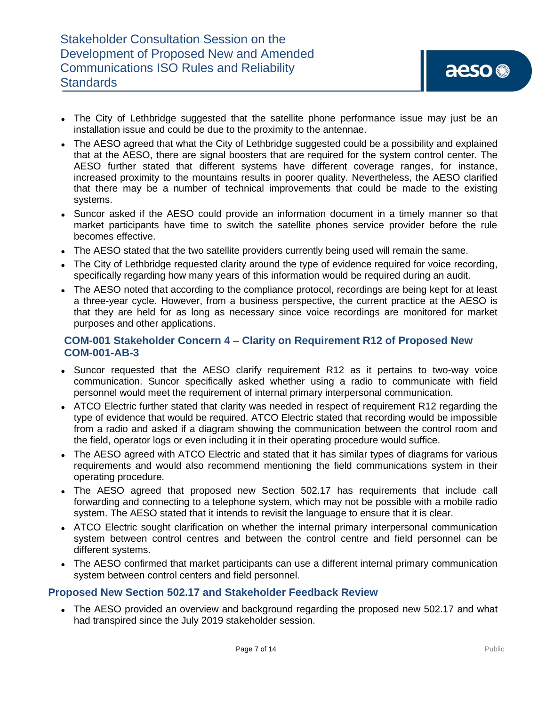- The City of Lethbridge suggested that the satellite phone performance issue may just be an installation issue and could be due to the proximity to the antennae.
- The AESO agreed that what the City of Lethbridge suggested could be a possibility and explained that at the AESO, there are signal boosters that are required for the system control center. The AESO further stated that different systems have different coverage ranges, for instance, increased proximity to the mountains results in poorer quality. Nevertheless, the AESO clarified that there may be a number of technical improvements that could be made to the existing systems.
- Suncor asked if the AESO could provide an information document in a timely manner so that market participants have time to switch the satellite phones service provider before the rule becomes effective.
- ⚫ The AESO stated that the two satellite providers currently being used will remain the same.
- The City of Lethbridge requested clarity around the type of evidence required for voice recording, specifically regarding how many years of this information would be required during an audit.
- The AESO noted that according to the compliance protocol, recordings are being kept for at least a three-year cycle. However, from a business perspective, the current practice at the AESO is that they are held for as long as necessary since voice recordings are monitored for market purposes and other applications.

# **COM-001 Stakeholder Concern 4 – Clarity on Requirement R12 of Proposed New COM-001-AB-3**

- Suncor requested that the AESO clarify requirement R12 as it pertains to two-way voice communication. Suncor specifically asked whether using a radio to communicate with field personnel would meet the requirement of internal primary interpersonal communication.
- ATCO Electric further stated that clarity was needed in respect of requirement R12 regarding the type of evidence that would be required. ATCO Electric stated that recording would be impossible from a radio and asked if a diagram showing the communication between the control room and the field, operator logs or even including it in their operating procedure would suffice.
- The AESO agreed with ATCO Electric and stated that it has similar types of diagrams for various requirements and would also recommend mentioning the field communications system in their operating procedure.
- The AESO agreed that proposed new Section 502.17 has requirements that include call forwarding and connecting to a telephone system, which may not be possible with a mobile radio system. The AESO stated that it intends to revisit the language to ensure that it is clear.
- ATCO Electric sought clarification on whether the internal primary interpersonal communication system between control centres and between the control centre and field personnel can be different systems.
- The AESO confirmed that market participants can use a different internal primary communication system between control centers and field personnel.

# **Proposed New Section 502.17 and Stakeholder Feedback Review**

• The AESO provided an overview and background regarding the proposed new 502.17 and what had transpired since the July 2019 stakeholder session.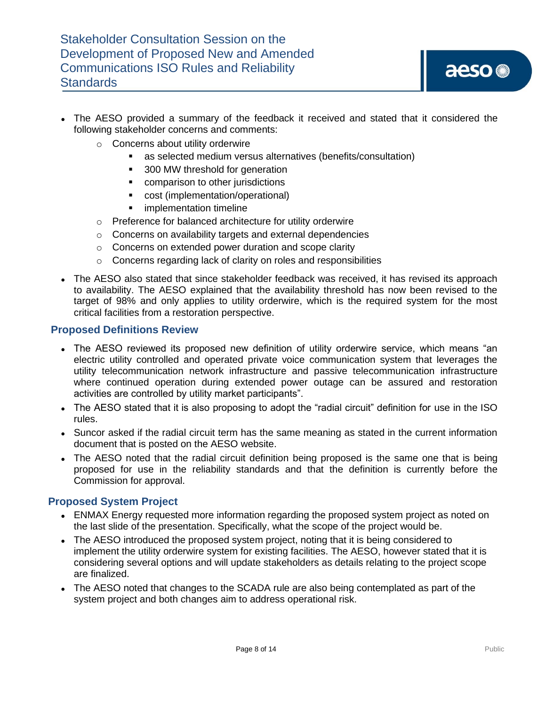- The AESO provided a summary of the feedback it received and stated that it considered the following stakeholder concerns and comments:
	- o Concerns about utility orderwire
		- as selected medium versus alternatives (benefits/consultation)
		- 300 MW threshold for generation
		- comparison to other jurisdictions
		- cost (implementation/operational)
		- **·** implementation timeline
	- o Preference for balanced architecture for utility orderwire
	- o Concerns on availability targets and external dependencies
	- o Concerns on extended power duration and scope clarity
	- o Concerns regarding lack of clarity on roles and responsibilities
- The AESO also stated that since stakeholder feedback was received, it has revised its approach to availability. The AESO explained that the availability threshold has now been revised to the target of 98% and only applies to utility orderwire, which is the required system for the most critical facilities from a restoration perspective.

#### **Proposed Definitions Review**

- The AESO reviewed its proposed new definition of utility orderwire service, which means "an electric utility controlled and operated private voice communication system that leverages the utility telecommunication network infrastructure and passive telecommunication infrastructure where continued operation during extended power outage can be assured and restoration activities are controlled by utility market participants".
- The AESO stated that it is also proposing to adopt the "radial circuit" definition for use in the ISO rules.
- Suncor asked if the radial circuit term has the same meaning as stated in the current information document that is posted on the AESO website.
- The AESO noted that the radial circuit definition being proposed is the same one that is being proposed for use in the reliability standards and that the definition is currently before the Commission for approval.

#### **Proposed System Project**

- ENMAX Energy requested more information regarding the proposed system project as noted on the last slide of the presentation. Specifically, what the scope of the project would be.
- The AESO introduced the proposed system project, noting that it is being considered to implement the utility orderwire system for existing facilities. The AESO, however stated that it is considering several options and will update stakeholders as details relating to the project scope are finalized.
- The AESO noted that changes to the SCADA rule are also being contemplated as part of the system project and both changes aim to address operational risk.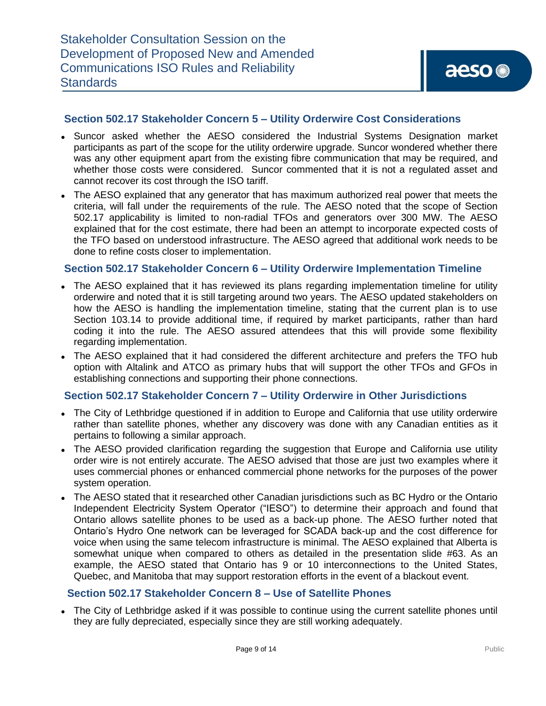### **Section 502.17 Stakeholder Concern 5 – Utility Orderwire Cost Considerations**

- ⚫ Suncor asked whether the AESO considered the Industrial Systems Designation market participants as part of the scope for the utility orderwire upgrade. Suncor wondered whether there was any other equipment apart from the existing fibre communication that may be required, and whether those costs were considered. Suncor commented that it is not a regulated asset and cannot recover its cost through the ISO tariff.
- The AESO explained that any generator that has maximum authorized real power that meets the criteria, will fall under the requirements of the rule. The AESO noted that the scope of Section 502.17 applicability is limited to non-radial TFOs and generators over 300 MW. The AESO explained that for the cost estimate, there had been an attempt to incorporate expected costs of the TFO based on understood infrastructure. The AESO agreed that additional work needs to be done to refine costs closer to implementation.

### **Section 502.17 Stakeholder Concern 6 – Utility Orderwire Implementation Timeline**

- The AESO explained that it has reviewed its plans regarding implementation timeline for utility orderwire and noted that it is still targeting around two years. The AESO updated stakeholders on how the AESO is handling the implementation timeline, stating that the current plan is to use Section 103.14 to provide additional time, if required by market participants, rather than hard coding it into the rule. The AESO assured attendees that this will provide some flexibility regarding implementation.
- The AESO explained that it had considered the different architecture and prefers the TFO hub option with Altalink and ATCO as primary hubs that will support the other TFOs and GFOs in establishing connections and supporting their phone connections.

#### **Section 502.17 Stakeholder Concern 7 – Utility Orderwire in Other Jurisdictions**

- ⚫ The City of Lethbridge questioned if in addition to Europe and California that use utility orderwire rather than satellite phones, whether any discovery was done with any Canadian entities as it pertains to following a similar approach.
- The AESO provided clarification regarding the suggestion that Europe and California use utility order wire is not entirely accurate. The AESO advised that those are just two examples where it uses commercial phones or enhanced commercial phone networks for the purposes of the power system operation.
- The AESO stated that it researched other Canadian jurisdictions such as BC Hydro or the Ontario Independent Electricity System Operator ("IESO") to determine their approach and found that Ontario allows satellite phones to be used as a back-up phone. The AESO further noted that Ontario's Hydro One network can be leveraged for SCADA back-up and the cost difference for voice when using the same telecom infrastructure is minimal. The AESO explained that Alberta is somewhat unique when compared to others as detailed in the presentation slide #63. As an example, the AESO stated that Ontario has 9 or 10 interconnections to the United States, Quebec, and Manitoba that may support restoration efforts in the event of a blackout event.

# **Section 502.17 Stakeholder Concern 8 – Use of Satellite Phones**

• The City of Lethbridge asked if it was possible to continue using the current satellite phones until they are fully depreciated, especially since they are still working adequately.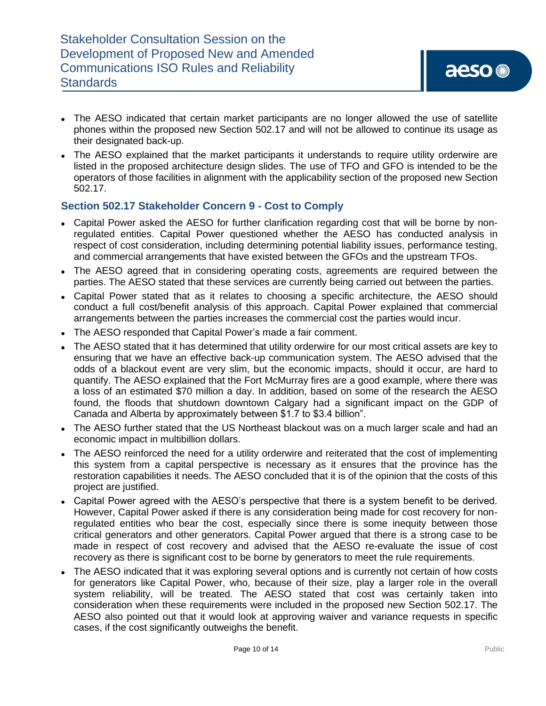- The AESO indicated that certain market participants are no longer allowed the use of satellite phones within the proposed new Section 502.17 and will not be allowed to continue its usage as their designated back-up.
- The AESO explained that the market participants it understands to require utility orderwire are listed in the proposed architecture design slides. The use of TFO and GFO is intended to be the operators of those facilities in alignment with the applicability section of the proposed new Section 502.17.

# **Section 502.17 Stakeholder Concern 9 - Cost to Comply**

- Capital Power asked the AESO for further clarification regarding cost that will be borne by nonregulated entities. Capital Power questioned whether the AESO has conducted analysis in respect of cost consideration, including determining potential liability issues, performance testing, and commercial arrangements that have existed between the GFOs and the upstream TFOs.
- ⚫ The AESO agreed that in considering operating costs, agreements are required between the parties. The AESO stated that these services are currently being carried out between the parties.
- ⚫ Capital Power stated that as it relates to choosing a specific architecture, the AESO should conduct a full cost/benefit analysis of this approach. Capital Power explained that commercial arrangements between the parties increases the commercial cost the parties would incur.
- ⚫ The AESO responded that Capital Power's made a fair comment.
- ⚫ The AESO stated that it has determined that utility orderwire for our most critical assets are key to ensuring that we have an effective back-up communication system. The AESO advised that the odds of a blackout event are very slim, but the economic impacts, should it occur, are hard to quantify. The AESO explained that the Fort McMurray fires are a good example, where there was a loss of an estimated \$70 million a day. In addition, based on some of the research the AESO found, the floods that shutdown downtown Calgary had a significant impact on the GDP of Canada and Alberta by approximately between \$1.7 to \$3.4 billion".
- The AESO further stated that the US Northeast blackout was on a much larger scale and had an economic impact in multibillion dollars.
- The AESO reinforced the need for a utility orderwire and reiterated that the cost of implementing this system from a capital perspective is necessary as it ensures that the province has the restoration capabilities it needs. The AESO concluded that it is of the opinion that the costs of this project are justified.
- ⚫ Capital Power agreed with the AESO's perspective that there is a system benefit to be derived. However, Capital Power asked if there is any consideration being made for cost recovery for nonregulated entities who bear the cost, especially since there is some inequity between those critical generators and other generators. Capital Power argued that there is a strong case to be made in respect of cost recovery and advised that the AESO re-evaluate the issue of cost recovery as there is significant cost to be borne by generators to meet the rule requirements.
- ⚫ The AESO indicated that it was exploring several options and is currently not certain of how costs for generators like Capital Power, who, because of their size, play a larger role in the overall system reliability, will be treated. The AESO stated that cost was certainly taken into consideration when these requirements were included in the proposed new Section 502.17. The AESO also pointed out that it would look at approving waiver and variance requests in specific cases, if the cost significantly outweighs the benefit.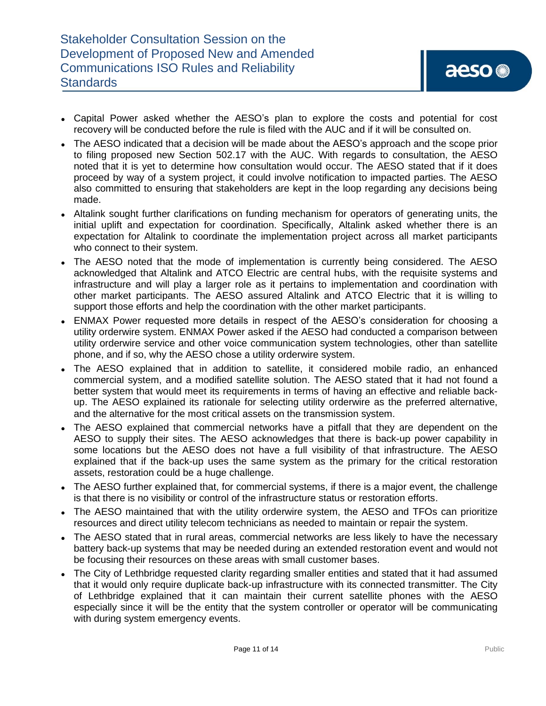- Capital Power asked whether the AESO's plan to explore the costs and potential for cost recovery will be conducted before the rule is filed with the AUC and if it will be consulted on.
- The AESO indicated that a decision will be made about the AESO's approach and the scope prior to filing proposed new Section 502.17 with the AUC. With regards to consultation, the AESO noted that it is yet to determine how consultation would occur. The AESO stated that if it does proceed by way of a system project, it could involve notification to impacted parties. The AESO also committed to ensuring that stakeholders are kept in the loop regarding any decisions being made.
- ⚫ Altalink sought further clarifications on funding mechanism for operators of generating units, the initial uplift and expectation for coordination. Specifically, Altalink asked whether there is an expectation for Altalink to coordinate the implementation project across all market participants who connect to their system.
- The AESO noted that the mode of implementation is currently being considered. The AESO acknowledged that Altalink and ATCO Electric are central hubs, with the requisite systems and infrastructure and will play a larger role as it pertains to implementation and coordination with other market participants. The AESO assured Altalink and ATCO Electric that it is willing to support those efforts and help the coordination with the other market participants.
- ENMAX Power requested more details in respect of the AESO's consideration for choosing a utility orderwire system. ENMAX Power asked if the AESO had conducted a comparison between utility orderwire service and other voice communication system technologies, other than satellite phone, and if so, why the AESO chose a utility orderwire system.
- ⚫ The AESO explained that in addition to satellite, it considered mobile radio, an enhanced commercial system, and a modified satellite solution. The AESO stated that it had not found a better system that would meet its requirements in terms of having an effective and reliable backup. The AESO explained its rationale for selecting utility orderwire as the preferred alternative, and the alternative for the most critical assets on the transmission system.
- ⚫ The AESO explained that commercial networks have a pitfall that they are dependent on the AESO to supply their sites. The AESO acknowledges that there is back-up power capability in some locations but the AESO does not have a full visibility of that infrastructure. The AESO explained that if the back-up uses the same system as the primary for the critical restoration assets, restoration could be a huge challenge.
- The AESO further explained that, for commercial systems, if there is a major event, the challenge is that there is no visibility or control of the infrastructure status or restoration efforts.
- The AESO maintained that with the utility orderwire system, the AESO and TFOs can prioritize resources and direct utility telecom technicians as needed to maintain or repair the system.
- The AESO stated that in rural areas, commercial networks are less likely to have the necessary battery back-up systems that may be needed during an extended restoration event and would not be focusing their resources on these areas with small customer bases.
- The City of Lethbridge requested clarity regarding smaller entities and stated that it had assumed that it would only require duplicate back-up infrastructure with its connected transmitter. The City of Lethbridge explained that it can maintain their current satellite phones with the AESO especially since it will be the entity that the system controller or operator will be communicating with during system emergency events.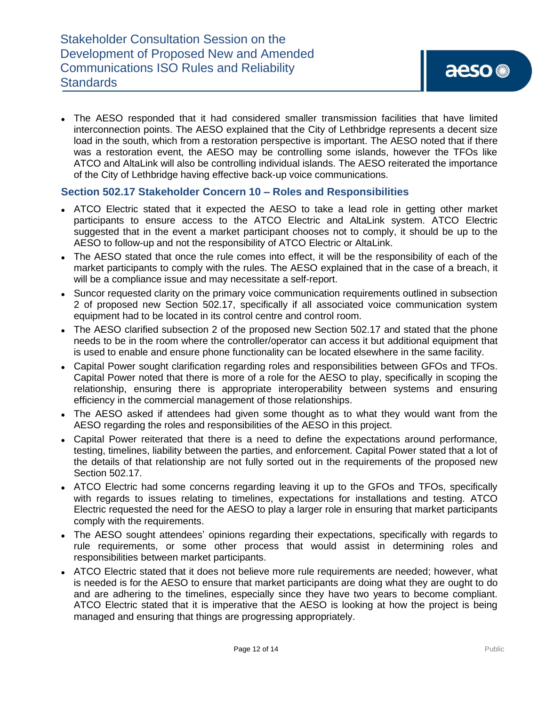• The AESO responded that it had considered smaller transmission facilities that have limited interconnection points. The AESO explained that the City of Lethbridge represents a decent size load in the south, which from a restoration perspective is important. The AESO noted that if there was a restoration event, the AESO may be controlling some islands, however the TFOs like ATCO and AltaLink will also be controlling individual islands. The AESO reiterated the importance of the City of Lethbridge having effective back-up voice communications.

### **Section 502.17 Stakeholder Concern 10 – Roles and Responsibilities**

- ATCO Electric stated that it expected the AESO to take a lead role in getting other market participants to ensure access to the ATCO Electric and AltaLink system. ATCO Electric suggested that in the event a market participant chooses not to comply, it should be up to the AESO to follow-up and not the responsibility of ATCO Electric or AltaLink.
- ⚫ The AESO stated that once the rule comes into effect, it will be the responsibility of each of the market participants to comply with the rules. The AESO explained that in the case of a breach, it will be a compliance issue and may necessitate a self-report.
- Suncor requested clarity on the primary voice communication requirements outlined in subsection 2 of proposed new Section 502.17, specifically if all associated voice communication system equipment had to be located in its control centre and control room.
- The AESO clarified subsection 2 of the proposed new Section 502.17 and stated that the phone needs to be in the room where the controller/operator can access it but additional equipment that is used to enable and ensure phone functionality can be located elsewhere in the same facility.
- ⚫ Capital Power sought clarification regarding roles and responsibilities between GFOs and TFOs. Capital Power noted that there is more of a role for the AESO to play, specifically in scoping the relationship, ensuring there is appropriate interoperability between systems and ensuring efficiency in the commercial management of those relationships.
- The AESO asked if attendees had given some thought as to what they would want from the AESO regarding the roles and responsibilities of the AESO in this project.
- ⚫ Capital Power reiterated that there is a need to define the expectations around performance, testing, timelines, liability between the parties, and enforcement. Capital Power stated that a lot of the details of that relationship are not fully sorted out in the requirements of the proposed new Section 502.17.
- ATCO Electric had some concerns regarding leaving it up to the GFOs and TFOs, specifically with regards to issues relating to timelines, expectations for installations and testing. ATCO Electric requested the need for the AESO to play a larger role in ensuring that market participants comply with the requirements.
- The AESO sought attendees' opinions regarding their expectations, specifically with regards to rule requirements, or some other process that would assist in determining roles and responsibilities between market participants.
- ⚫ ATCO Electric stated that it does not believe more rule requirements are needed; however, what is needed is for the AESO to ensure that market participants are doing what they are ought to do and are adhering to the timelines, especially since they have two years to become compliant. ATCO Electric stated that it is imperative that the AESO is looking at how the project is being managed and ensuring that things are progressing appropriately.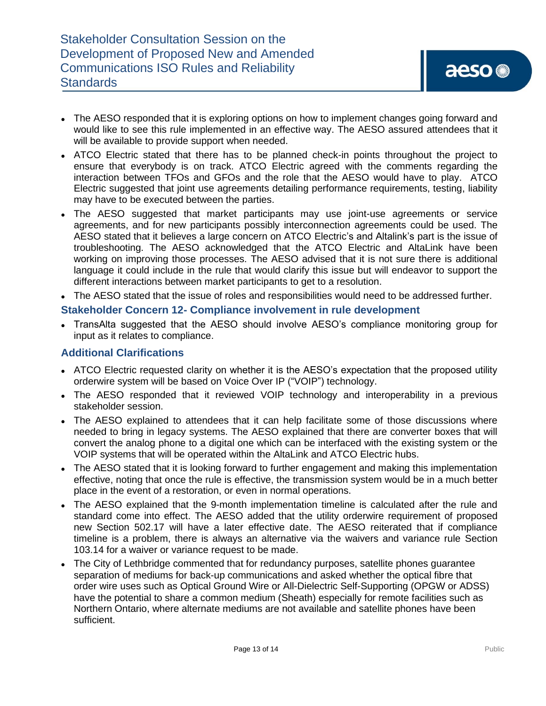- The AESO responded that it is exploring options on how to implement changes going forward and would like to see this rule implemented in an effective way. The AESO assured attendees that it will be available to provide support when needed.
- ATCO Electric stated that there has to be planned check-in points throughout the project to ensure that everybody is on track. ATCO Electric agreed with the comments regarding the interaction between TFOs and GFOs and the role that the AESO would have to play. ATCO Electric suggested that joint use agreements detailing performance requirements, testing, liability may have to be executed between the parties.
- The AESO suggested that market participants may use joint-use agreements or service agreements, and for new participants possibly interconnection agreements could be used. The AESO stated that it believes a large concern on ATCO Electric's and Altalink's part is the issue of troubleshooting. The AESO acknowledged that the ATCO Electric and AltaLink have been working on improving those processes. The AESO advised that it is not sure there is additional language it could include in the rule that would clarify this issue but will endeavor to support the different interactions between market participants to get to a resolution.
- ⚫ The AESO stated that the issue of roles and responsibilities would need to be addressed further.

### **Stakeholder Concern 12- Compliance involvement in rule development**

• TransAlta suggested that the AESO should involve AESO's compliance monitoring group for input as it relates to compliance.

#### **Additional Clarifications**

- ATCO Electric requested clarity on whether it is the AESO's expectation that the proposed utility orderwire system will be based on Voice Over IP ("VOIP") technology.
- The AESO responded that it reviewed VOIP technology and interoperability in a previous stakeholder session.
- The AESO explained to attendees that it can help facilitate some of those discussions where needed to bring in legacy systems. The AESO explained that there are converter boxes that will convert the analog phone to a digital one which can be interfaced with the existing system or the VOIP systems that will be operated within the AltaLink and ATCO Electric hubs.
- The AESO stated that it is looking forward to further engagement and making this implementation effective, noting that once the rule is effective, the transmission system would be in a much better place in the event of a restoration, or even in normal operations.
- The AESO explained that the 9-month implementation timeline is calculated after the rule and standard come into effect. The AESO added that the utility orderwire requirement of proposed new Section 502.17 will have a later effective date. The AESO reiterated that if compliance timeline is a problem, there is always an alternative via the waivers and variance rule Section 103.14 for a waiver or variance request to be made.
- The City of Lethbridge commented that for redundancy purposes, satellite phones guarantee separation of mediums for back-up communications and asked whether the optical fibre that order wire uses such as Optical Ground Wire or All-Dielectric Self-Supporting (OPGW or ADSS) have the potential to share a common medium (Sheath) especially for remote facilities such as Northern Ontario, where alternate mediums are not available and satellite phones have been sufficient.